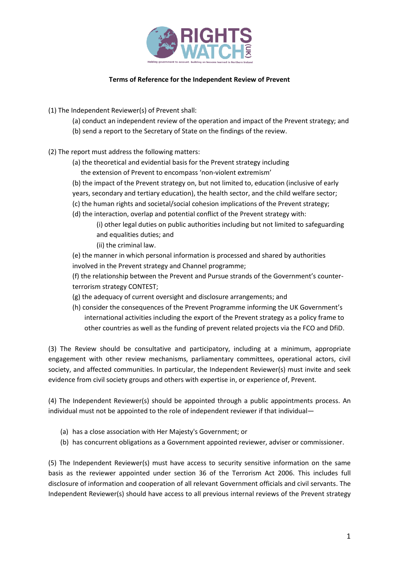

## **Terms of Reference for the Independent Review of Prevent**

(1) The Independent Reviewer(s) of Prevent shall:

- (a) conduct an independent review of the operation and impact of the Prevent strategy; and
- (b) send a report to the Secretary of State on the findings of the review.
- (2) The report must address the following matters:
	- (a) the theoretical and evidential basis for the Prevent strategy including
		- the extension of Prevent to encompass 'non-violent extremism'
	- (b) the impact of the Prevent strategy on, but not limited to, education (inclusive of early
	- years, secondary and tertiary education), the health sector, and the child welfare sector;
	- (c) the human rights and societal/social cohesion implications of the Prevent strategy;
	- (d) the interaction, overlap and potential conflict of the Prevent strategy with:
		- (i) other legal duties on public authorities including but not limited to safeguarding and equalities duties; and
		- (ii) the criminal law.

(e) the manner in which personal information is processed and shared by authorities involved in the Prevent strategy and Channel programme;

(f) the relationship between the Prevent and Pursue strands of the Government's counterterrorism strategy CONTEST;

- (g) the adequacy of current oversight and disclosure arrangements; and
- (h) consider the consequences of the Prevent Programme informing the UK Government's international activities including the export of the Prevent strategy as a policy frame to other countries as well as the funding of prevent related projects via the FCO and DfiD.

(3) The Review should be consultative and participatory, including at a minimum, appropriate engagement with other review mechanisms, parliamentary committees, operational actors, civil society, and affected communities. In particular, the Independent Reviewer(s) must invite and seek evidence from civil society groups and others with expertise in, or experience of, Prevent.

(4) The Independent Reviewer(s) should be appointed through a public appointments process. An individual must not be appointed to the role of independent reviewer if that individual—

- (a) has a close association with Her Majesty's Government; or
- (b) has concurrent obligations as a Government appointed reviewer, adviser or commissioner.

(5) The Independent Reviewer(s) must have access to security sensitive information on the same basis as the reviewer appointed under section 36 of the Terrorism Act 2006. This includes full disclosure of information and cooperation of all relevant Government officials and civil servants. The Independent Reviewer(s) should have access to all previous internal reviews of the Prevent strategy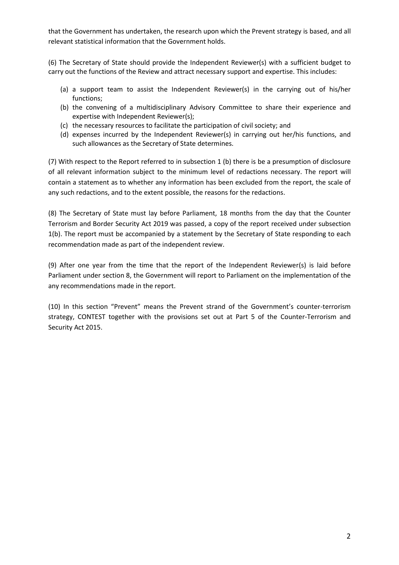that the Government has undertaken, the research upon which the Prevent strategy is based, and all relevant statistical information that the Government holds.

(6) The Secretary of State should provide the Independent Reviewer(s) with a sufficient budget to carry out the functions of the Review and attract necessary support and expertise. This includes:

- (a) a support team to assist the Independent Reviewer(s) in the carrying out of his/her functions;
- (b) the convening of a multidisciplinary Advisory Committee to share their experience and expertise with Independent Reviewer(s);
- (c) the necessary resources to facilitate the participation of civil society; and
- (d) expenses incurred by the Independent Reviewer(s) in carrying out her/his functions, and such allowances as the Secretary of State determines.

(7) With respect to the Report referred to in subsection 1 (b) there is be a presumption of disclosure of all relevant information subject to the minimum level of redactions necessary. The report will contain a statement as to whether any information has been excluded from the report, the scale of any such redactions, and to the extent possible, the reasons for the redactions.

(8) The Secretary of State must lay before Parliament, 18 months from the day that the Counter Terrorism and Border Security Act 2019 was passed, a copy of the report received under subsection 1(b). The report must be accompanied by a statement by the Secretary of State responding to each recommendation made as part of the independent review.

(9) After one year from the time that the report of the Independent Reviewer(s) is laid before Parliament under section 8, the Government will report to Parliament on the implementation of the any recommendations made in the report.

(10) In this section "Prevent" means the Prevent strand of the Government's counter-terrorism strategy, CONTEST together with the provisions set out at Part 5 of the Counter-Terrorism and Security Act 2015.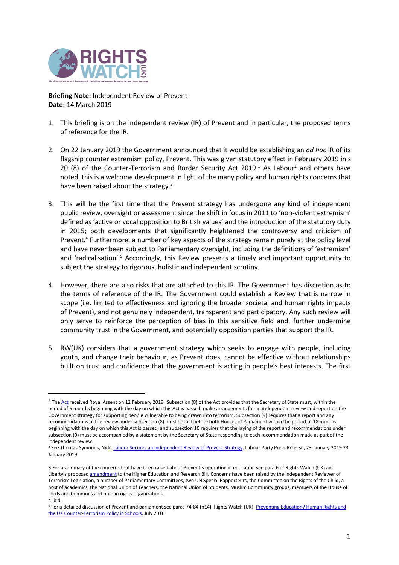

**Briefing Note:** Independent Review of Prevent **Date:** 14 March 2019

- 1. This briefing is on the independent review (IR) of Prevent and in particular, the proposed terms of reference for the IR.
- 2. On 22 January 2019 the Government announced that it would be establishing an *ad hoc* IR of its flagship counter extremism policy, Prevent. This was given statutory effect in February 2019 in s 20 (8) of the Counter-Terrorism and Border Security Act  $2019<sup>1</sup>$  As Labour<sup>2</sup> and others have noted, this is a welcome development in light of the many policy and human rights concerns that have been raised about the strategy. $3$
- 3. This will be the first time that the Prevent strategy has undergone any kind of independent public review, oversight or assessment since the shift in focus in 2011 to 'non-violent extremism' defined as 'active or vocal opposition to British values' and the introduction of the statutory duty in 2015; both developments that significantly heightened the controversy and criticism of Prevent.<sup>4</sup> Furthermore, a number of key aspects of the strategy remain purely at the policy level and have never been subject to Parliamentary oversight, including the definitions of 'extremism' and 'radicalisation'.<sup>5</sup> Accordingly, this Review presents a timely and important opportunity to subject the strategy to rigorous, holistic and independent scrutiny.
- 4. However, there are also risks that are attached to this IR. The Government has discretion as to the terms of reference of the IR. The Government could establish a Review that is narrow in scope (i.e. limited to effectiveness and ignoring the broader societal and human rights impacts of Prevent), and not genuinely independent, transparent and participatory. Any such review will only serve to reinforce the perception of bias in this sensitive field and, further undermine community trust in the Government, and potentially opposition parties that support the IR.
- 5. RW(UK) considers that a government strategy which seeks to engage with people, including youth, and change their behaviour, as Prevent does, cannot be effective without relationships built on trust and confidence that the government is acting in people's best interests. The first

<sup>&</sup>lt;sup>1</sup> The <u>Act</u> received Royal Assent on 12 February 2019. Subsection (8) of th[e Act](http://www.legislation.gov.uk/ukpga/2019/3/section/20/enacted) provides that the Secretary of State must, within the period of 6 months beginning with the day on which this Act is passed, make arrangements for an independent review and report on the Government strategy for supporting people vulnerable to being drawn into terrorism. Subsection (9) requires that a report and any recommendations of the review under subsection (8) must be laid before both Houses of Parliament within the period of 18 months beginning with the day on which this Act is passed, and subsection 10 requires that the laying of the report and recommendations under subsection (9) must be accompanied by a statement by the Secretary of State responding to each recommendation made as part of the independent review.

<sup>&</sup>lt;sup>2</sup> See Thomas-Symonds, Nick[, Labour Secures an Independent Review of Prevent Strategy,](https://labour.org.uk/press/labour-secures-independent-review-prevent-strategy/) Labour Party Press Release, 23 January 2019 23 January 2019.

<sup>3</sup> For a summary of the concerns that have been raised about Prevent's operation in education see para 6 of Rights Watch (UK) and Liberty's proposed [amendment](https://www.rwuk.org/advocacy/briefing-on-the-higher-education-and-research-bill-an-independent-review-of-preventmarch-2017/) to the Higher Education and Research Bill. Concerns have been raised by the Independent Reviewer of Terrorism Legislation, a number of Parliamentary Committees, two UN Special Rapporteurs, the Committee on the Rights of the Child, a host of academics, the National Union of Teachers, the National Union of Students, Muslim Community groups, members of the House of Lords and Commons and human rights organizations.

<sup>4</sup> Ibid.

<sup>&</sup>lt;sup>5</sup> For a detailed discussion of Prevent and parliament see paras 74-84 (n14), Rights Watch (UK), Preventing Education? Human Rights and [the UK Counter-Terrorism Policy in Schools,](http://rwuk.org/wp-content/uploads/2016/07/preventing-education-final-to-print-3.compressed-1.pdf) July 2016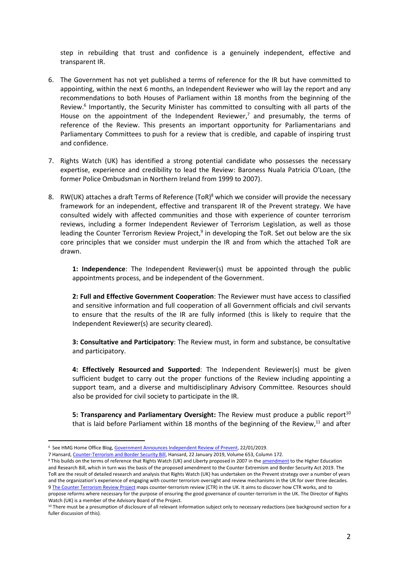step in rebuilding that trust and confidence is a genuinely independent, effective and transparent IR.

- 6. The Government has not yet published a terms of reference for the IR but have committed to appointing, within the next 6 months, an Independent Reviewer who will lay the report and any recommendations to both Houses of Parliament within 18 months from the beginning of the Review. 6 Importantly, the Security Minister has committed to consulting with all parts of the House on the appointment of the Independent Reviewer,<sup>7</sup> and presumably, the terms of reference of the Review. This presents an important opportunity for Parliamentarians and Parliamentary Committees to push for a review that is credible, and capable of inspiring trust and confidence.
- 7. Rights Watch (UK) has identified a strong potential candidate who possesses the necessary expertise, experience and credibility to lead the Review: Baroness Nuala Patricia O'Loan, (the former Police Ombudsman in Northern Ireland from 1999 to 2007).
- 8. RW(UK) attaches a draft Terms of Reference (ToR)<sup>8</sup> which we consider will provide the necessary framework for an independent, effective and transparent IR of the Prevent strategy. We have consulted widely with affected communities and those with experience of counter terrorism reviews, including a former Independent Reviewer of Terrorism Legislation, as well as those leading the Counter Terrorism Review Project,<sup>9</sup> in developing the ToR. Set out below are the six core principles that we consider must underpin the IR and from which the attached ToR are drawn.

**1: Independence**: The Independent Reviewer(s) must be appointed through the public appointments process, and be independent of the Government.

**2: Full and Effective Government Cooperation**: The Reviewer must have access to classified and sensitive information and full cooperation of all Government officials and civil servants to ensure that the results of the IR are fully informed (this is likely to require that the Independent Reviewer(s) are security cleared).

**3: Consultative and Participatory**: The Review must, in form and substance, be consultative and participatory.

**4: Effectively Resourced and Supported**: The Independent Reviewer(s) must be given sufficient budget to carry out the proper functions of the Review including appointing a support team, and a diverse and multidisciplinary Advisory Committee. Resources should also be provided for civil society to participate in the IR.

5: Transparency and Parliamentary Oversight: The Review must produce a public report<sup>10</sup> that is laid before Parliament within 18 months of the beginning of the Review,<sup>11</sup> and after

l

7 Hansard[, Counter-Terrorism and Border Security Bill,](https://hansard.parliament.uk/Commons/2019-01-22/debates/BEE0385D-EC2F-4222-917E-273430ED2924/Counter-TerrorismAndBorderSecurityBill#contribution-A660EB20-7E66-43E8-B5DB-998F2D95437C) Hansard, 22 January 2019, Volume 653, Column 172.

 $^6\,$  See HMG Home Office Blog, <u>Government Announces Independent Review of Prevent</u>, 22/01/2019.

<sup>8</sup> This builds on the terms of reference that Rights Watch (UK) and Liberty proposed in 2007 in th[e amendment](https://www.rwuk.org/advocacy/briefing-on-the-higher-education-and-research-bill-an-independent-review-of-preventmarch-2017/) to the Higher Education and Research Bill, which in turn was the basis of the proposed amendment to the Counter Extremism and Border Security Act 2019. The ToR are the result of detailed research and analysis that Rights Watch (UK) has undertaken on the Prevent strategy over a number of years and the organization's experience of engaging with counter terrorism oversight and review mechanisms in the UK for over three decades. 9 [The Counter Terrorism Review Project](https://counterterrorismreview.com/)</u> maps counter-terrorism review (CTR) in the UK. It aims to discover how CTR works, and to propose reforms where necessary for the purpose of ensuring the good governance of counter-terrorism in the UK. The Director of Rights

Watch (UK) is a member of the Advisory Board of the Project. <sup>10</sup> There must be a presumption of disclosure of all relevant information subject only to necessary redactions (see background section for a fuller discussion of this).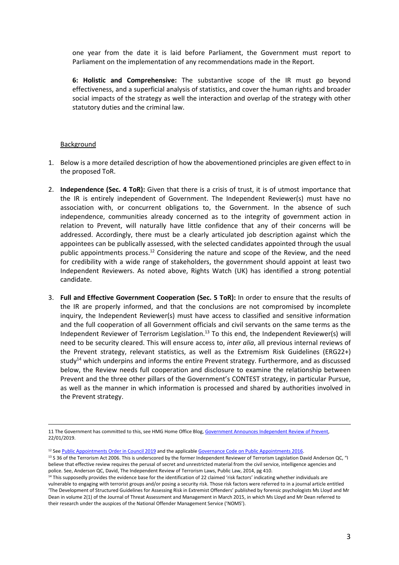one year from the date it is laid before Parliament, the Government must report to Parliament on the implementation of any recommendations made in the Report.

**6: Holistic and Comprehensive:** The substantive scope of the IR must go beyond effectiveness, and a superficial analysis of statistics, and cover the human rights and broader social impacts of the strategy as well the interaction and overlap of the strategy with other statutory duties and the criminal law.

## Background

- 1. Below is a more detailed description of how the abovementioned principles are given effect to in the proposed ToR.
- 2. **Independence (Sec. 4 ToR):** Given that there is a crisis of trust, it is of utmost importance that the IR is entirely independent of Government. The Independent Reviewer(s) must have no association with, or concurrent obligations to, the Government. In the absence of such independence, communities already concerned as to the integrity of government action in relation to Prevent, will naturally have little confidence that any of their concerns will be addressed. Accordingly, there must be a clearly articulated job description against which the appointees can be publically assessed, with the selected candidates appointed through the usual public appointments process. <sup>12</sup> Considering the nature and scope of the Review, and the need for credibility with a wide range of stakeholders, the government should appoint at least two Independent Reviewers. As noted above, Rights Watch (UK) has identified a strong potential candidate.
- 3. **Full and Effective Government Cooperation (Sec. 5 ToR):** In order to ensure that the results of the IR are properly informed, and that the conclusions are not compromised by incomplete inquiry, the Independent Reviewer(s) must have access to classified and sensitive information and the full cooperation of all Government officials and civil servants on the same terms as the Independent Reviewer of Terrorism Legislation.<sup>13</sup> To this end, the Independent Reviewer(s) will need to be security cleared. This will ensure access to, *inter alia*, all previous internal reviews of the Prevent strategy, relevant statistics, as well as the Extremism Risk Guidelines (ERG22+) study<sup>14</sup> which underpins and informs the entire Prevent strategy. Furthermore, and as discussed below, the Review needs full cooperation and disclosure to examine the relationship between Prevent and the three other pillars of the Government's CONTEST strategy, in particular Pursue, as well as the manner in which information is processed and shared by authorities involved in the Prevent strategy.

l 11 The Government has committed to this, see HMG Home Office Blog[, Government Announces Independent Review of Prevent,](https://homeofficemedia.blog.gov.uk/2019/01/22/government-announces-independent-review-of-prevent/)  22/01/2019.

<sup>&</sup>lt;sup>12</sup> See [Public Appointments Order in Council 2019](https://www.parliament.uk/business/publications/written-questions-answers-statements/written-statement/Commons/2019-04-11/HCWS1510/) and the applicabl[e Governance Code on Public Appointments 2016.](https://assets.publishing.service.gov.uk/government/uploads/system/uploads/attachment_data/file/578498/governance_code_on_public_appointments_16_12_2016.pdf)

<sup>&</sup>lt;sup>13</sup> S 36 of the Terrorism Act 2006. This is underscored by the former Independent Reviewer of Terrorism Legislation David Anderson QC, "I believe that effective review requires the perusal of secret and unrestricted material from the civil service, intelligence agencies and police. See, Anderson QC, David, The Independent Review of Terrorism Laws, Public Law, 2014, pg 410.

<sup>&</sup>lt;sup>14</sup> This supposedly provides the evidence base for the identification of 22 claimed 'risk factors' indicating whether individuals are vulnerable to engaging with terrorist groups and/or posing a security risk. Those risk factors were referred to in a journal article entitled 'The Development of Structured Guidelines for Assessing Risk in Extremist Offenders' published by forensic psychologists Ms Lloyd and Mr Dean in volume 2(1) of the Journal of Threat Assessment and Management in March 2015, in which Ms Lloyd and Mr Dean referred to their research under the auspices of the National Offender Management Service ('NOMS').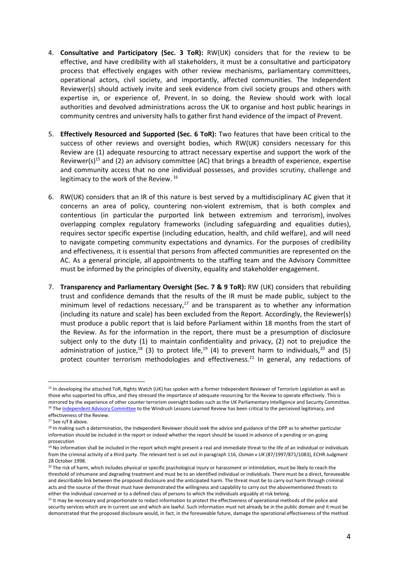- 4. **Consultative and Participatory (Sec. 3 ToR):** RW(UK) considers that for the review to be effective, and have credibility with all stakeholders, it must be a consultative and participatory process that effectively engages with other review mechanisms, parliamentary committees, operational actors, civil society, and importantly, affected communities. The Independent Reviewer(s) should actively invite and seek evidence from civil society groups and others with expertise in, or experience of, Prevent. In so doing, the Review should work with local authorities and devolved administrations across the UK to organise and host public hearings in community centres and university halls to gather first hand evidence of the impact of Prevent.
- 5. **Effectively Resourced and Supported (Sec. 6 ToR):** Two features that have been critical to the success of other reviews and oversight bodies, which RW(UK) considers necessary for this Review are (1) adequate resourcing to attract necessary expertise and support the work of the Reviewer(s)<sup>15</sup> and (2) an advisory committee (AC) that brings a breadth of experience, expertise and community access that no one individual possesses, and provides scrutiny, challenge and legitimacy to the work of the Review. 16
- 6. RW(UK) considers that an IR of this nature is best served by a multidisciplinary AC given that it concerns an area of policy, countering non-violent extremism, that is both complex and contentious (in particular the purported link between extremism and terrorism), involves overlapping complex regulatory frameworks (including safeguarding and equalities duties), requires sector specific expertise (including education, health, and child welfare), and will need to navigate competing community expectations and dynamics. For the purposes of credibility and effectiveness, it is essential that persons from affected communities are represented on the AC. As a general principle, all appointments to the staffing team and the Advisory Committee must be informed by the principles of diversity, equality and stakeholder engagement.
- 7. **Transparency and Parliamentary Oversight (Sec. 7 & 9 ToR):** RW (UK) considers that rebuilding trust and confidence demands that the results of the IR must be made public, subject to the minimum level of redactions necessary, $17$  and be transparent as to whether any information (including its nature and scale) has been excluded from the Report. Accordingly, the Reviewer(s) must produce a public report that is laid before Parliament within 18 months from the start of the Review. As for the information in the report, there must be a presumption of disclosure subject only to the duty (1) to maintain confidentiality and privacy, (2) not to prejudice the administration of justice,<sup>18</sup> (3) to protect life,<sup>19</sup> (4) to prevent harm to individuals,<sup>20</sup> and (5) protect counter terrorism methodologies and effectiveness.<sup>21</sup> In general, any redactions of

<sup>&</sup>lt;sup>15</sup> In developing the attached ToR, Rights Watch (UK) has spoken with a former Independent Reviewer of Terrorism Legislation as well as those who supported his office, and they stressed the importance of adequate resourcing for the Review to operate effectively. This is mirrored by the experience of other counter terrorism oversight bodies such as the UK Parliamentary Intelligence and Security Committee. <sup>16</sup> Th[e Independent Advisory Committee](https://www.gov.uk/government/publications/windrush-lessons-learned-review/windrush-lessons-learned-review-independent-advisory-group-membership-list-and-biographies) to the Windrush Lessons Learned Review has been critical to the perceived legitimacy, and effectiveness of the Review.

<sup>&</sup>lt;sup>17</sup> See n/f 8 above.

<sup>&</sup>lt;sup>18</sup> In making such a determination, the Independent Reviewer should seek the advice and guidance of the DPP as to whether particular information should be included in the report or indeed whether the report should be issued in advance of a pending or on-going prosecution

<sup>&</sup>lt;sup>19</sup> No information shall be included in the report which might present a real and immediate threat to the life of an individual or individuals from the criminal activity of a third party. The relevant test is set out in paragraph 116, *Osman v UK* (87/1997/871/1083), ECHR Judgment 28 October 1998.

<sup>&</sup>lt;sup>20</sup> The risk of harm, which includes physical or specific psychological injury or harassment or intimidation, must be likely to reach the threshold of inhumane and degrading treatment and must be to an identified individual or individuals. There must be a direct, foreseeable and describable link between the proposed disclosure and the anticipated harm. The threat must be to carry out harm through criminal acts and the source of the threat must have demonstrated the willingness and capability to carry out the abovementioned threats to either the individual concerned or to a defined class of persons to which the individuals arguably at risk belong.

<sup>&</sup>lt;sup>21</sup> It may be necessary and proportionate to redact information to protect the effectiveness of operational methods of the police and security services which are in current use and which are lawful. Such information must not already be in the public domain and it must be demonstrated that the proposed disclosure would, in fact, in the foreseeable future, damage the operational effectiveness of the method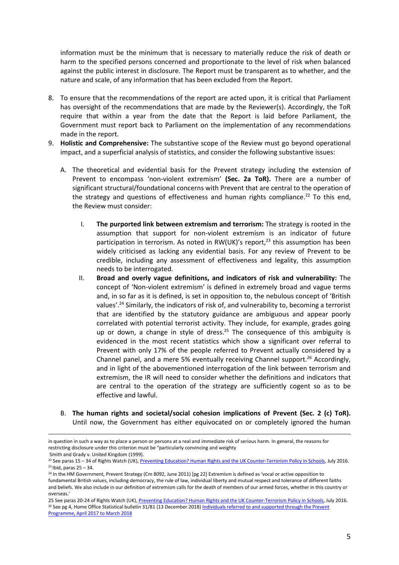information must be the minimum that is necessary to materially reduce the risk of death or harm to the specified persons concerned and proportionate to the level of risk when balanced against the public interest in disclosure. The Report must be transparent as to whether, and the nature and scale, of any information that has been excluded from the Report.

- 8. To ensure that the recommendations of the report are acted upon, it is critical that Parliament has oversight of the recommendations that are made by the Reviewer(s). Accordingly, the ToR require that within a year from the date that the Report is laid before Parliament, the Government must report back to Parliament on the implementation of any recommendations made in the report.
- 9. **Holistic and Comprehensive:** The substantive scope of the Review must go beyond operational impact, and a superficial analysis of statistics, and consider the following substantive issues:
	- A. The theoretical and evidential basis for the Prevent strategy including the extension of Prevent to encompass 'non-violent extremism' **(Sec. 2a ToR).** There are a number of significant structural/foundational concerns with Prevent that are central to the operation of the strategy and questions of effectiveness and human rights compliance.<sup>22</sup> To this end, the Review must consider:
		- I. **The purported link between extremism and terrorism:** The strategy is rooted in the assumption that support for non-violent extremism is an indicator of future participation in terrorism. As noted in RW(UK)'s report, $^{23}$  this assumption has been widely criticised as lacking any evidential basis. For any review of Prevent to be credible, including any assessment of effectiveness and legality, this assumption needs to be interrogated.
		- II. **Broad and overly vague definitions, and indicators of risk and vulnerability:** The concept of 'Non-violent extremism' is defined in extremely broad and vague terms and, in so far as it is defined, is set in opposition to, the nebulous concept of 'British values'.<sup>24</sup> Similarly, the indicators of risk of, and vulnerability to, becoming a terrorist that are identified by the statutory guidance are ambiguous and appear poorly correlated with potential terrorist activity. They include, for example, grades going up or down, a change in style of dress.<sup>25</sup> The consequence of this ambiguity is evidenced in the most recent statistics which show a significant over referral to Prevent with only 17% of the people referred to Prevent actually considered by a Channel panel, and a mere 5% eventually receiving Channel support.<sup>26</sup> Accordingly, and in light of the abovementioned interrogation of the link between terrorism and extremism, the IR will need to consider whether the definitions and indicators that are central to the operation of the strategy are sufficiently cogent so as to be effective and lawful.
	- B. **The human rights and societal/social cohesion implications of Prevent (Sec. 2 (c) ToR).** Until now, the Government has either equivocated on or completely ignored the human

in question in such a way as to place a person or persons at a real and immediate risk of serious harm. In general, the reasons for restricting disclosure under this criterion must be "particularly convincing and weighty

Smith and Grady v. United Kingdom (1999).

<sup>&</sup>lt;sup>22</sup> See paras 15 – 34 of Rights Watch (UK)[, Preventing Education? Human Rights and the UK Counter-Terrorism Policy in Schools,](http://rwuk.org/wp-content/uploads/2016/07/preventing-education-final-to-print-3.compressed-1.pdf) July 2016.  $23$  Ibid, paras  $25 - 34$ .

<sup>&</sup>lt;sup>24</sup> In the HM Government, Prevent Strategy (Cm 8092, June 2011) [pg 22] Extremism is defined as 'vocal or active opposition to fundamental British values, including democracy, the rule of law, individual liberty and mutual respect and tolerance of different faiths and beliefs. We also include in our definition of extremism calls for the death of members of our armed forces, whether in this country or overseas.'

<sup>25</sup> See paras 20-24 of Rights Watch (UK)[, Preventing Education? Human Rights and the UK Counter-Terrorism Policy in Schools,](http://rwuk.org/wp-content/uploads/2016/07/preventing-education-final-to-print-3.compressed-1.pdf) July 2016. <sup>26</sup> See pg 4, Home Office Statistical bulletin 31/81 (13 December 2018) Individuals referred to and supported through the Prevent [Programme, April 2017 to March 2018](https://assets.publishing.service.gov.uk/government/uploads/system/uploads/attachment_data/file/763254/individuals-referred-supported-prevent-programme-apr2017-mar2018-hosb3118.pdf)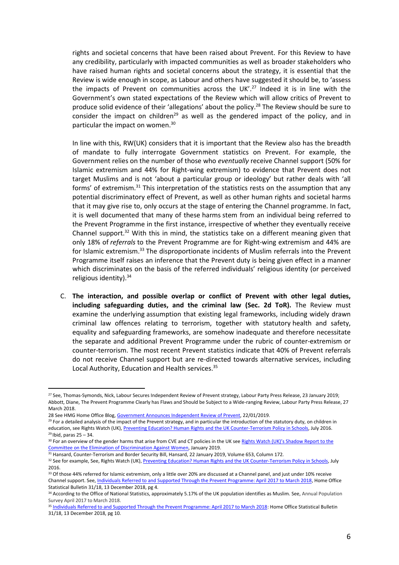rights and societal concerns that have been raised about Prevent. For this Review to have any credibility, particularly with impacted communities as well as broader stakeholders who have raised human rights and societal concerns about the strategy, it is essential that the Review is wide enough in scope, as Labour and others have suggested it should be, to 'assess the impacts of Prevent on communities across the  $UK.^{27}$  Indeed it is in line with the Government's own stated expectations of the Review which will allow critics of Prevent to produce solid evidence of their 'allegations' about the policy.<sup>28</sup> The Review should be sure to consider the impact on children<sup>29</sup> as well as the gendered impact of the policy, and in particular the impact on women. 30

In line with this, RW(UK) considers that it is important that the Review also has the breadth of mandate to fully interrogate Government statistics on Prevent. For example, the Government relies on the number of those who *eventually* receive Channel support (50% for Islamic extremism and 44% for Right-wing extremism) to evidence that Prevent does not target Muslims and is not 'about a particular group or ideology' but rather deals with 'all forms' of extremism.<sup>31</sup> This interpretation of the statistics rests on the assumption that any potential discriminatory effect of Prevent, as well as other human rights and societal harms that it may give rise to, only occurs at the stage of entering the Channel programme. In fact, it is well documented that many of these harms stem from an individual being referred to the Prevent Programme in the first instance, irrespective of whether they eventually receive Channel support.<sup>32</sup> With this in mind, the statistics take on a different meaning given that only 18% of *referrals* to the Prevent Programme are for Right-wing extremism and 44% are for Islamic extremism.<sup>33</sup> The disproportionate incidents of Muslim referrals into the Prevent Programme itself raises an inference that the Prevent duty is being given effect in a manner which discriminates on the basis of the referred individuals' religious identity (or perceived religious identity).<sup>34</sup>

C. **The interaction, and possible overlap or conflict of Prevent with other legal duties, including safeguarding duties, and the criminal law (Sec. 2d ToR).** The Review must examine the underlying assumption that existing legal frameworks, including widely drawn criminal law offences relating to terrorism, together with statutory health and safety, equality and safeguarding frameworks, are somehow inadequate and therefore necessitate the separate and additional Prevent Programme under the rubric of counter-extremism or counter-terrorism. The most recent Prevent statistics indicate that 40% of Prevent referrals do not receive Channel support but are re-directed towards alternative services, including Local Authority, Education and Health services.<sup>35</sup>

<sup>&</sup>lt;sup>27</sup> See, Thomas-Symonds, Nick, Labour Secures Independent Review of Prevent strategy, Labour Party Press Release, 23 January 2019; Abbott, Diane, The Prevent Programme Clearly has Flaws and Should be Subject to a Wide-ranging Review, Labour Party Press Release, 27 March 2018.

<sup>28</sup> See HMG Home Office Blog[, Government Announces Independent Review of Prevent,](https://homeofficemedia.blog.gov.uk/2019/01/22/government-announces-independent-review-of-prevent/) 22/01/2019.

<sup>&</sup>lt;sup>29</sup> For a detailed analysis of the impact of the Prevent strategy, and in particular the introduction of the statutory duty, on children in education, see Rights Watch (UK)[, Preventing Education? Human Rights and the UK Counter-Terrorism Policy in Schools,](http://rwuk.org/wp-content/uploads/2016/07/preventing-education-final-to-print-3.compressed-1.pdf) July 2016.  $29$  Ibid, paras  $25 - 34$ .

<sup>&</sup>lt;sup>30</sup> For an overview of the gender harms that arise from CVE and CT policies in the UK see Rights Watch (UK)'s Shadow Report to the [Committee on the Elimination of Discrimination Against Women,](https://www.rwuk.org/advocacy/joint-civil-society-letter-on-uks-support-for-universal-periodic-review-recommendations-september-2017-2-3-2-2-2/) January 2019.

<sup>&</sup>lt;sup>31</sup> Hansard, Counter-Terrorism and Border Security Bill, Hansard, 22 January 2019, Volume 653, Column 172.

<sup>32</sup> See for example, See, Rights Watch (UK)[, Preventing Education? Human Rights and the UK Counter-Terrorism Policy in Schools,](http://rwuk.org/wp-content/uploads/2016/07/preventing-education-final-to-print-3.compressed-1.pdf) July 2016.

<sup>&</sup>lt;sup>33</sup> Of those 44% referred for Islamic extremism, only a little over 20% are discussed at a Channel panel, and just under 10% receive Channel support. See[, Individuals Referred to and Supported Through the Prevent Programme: April 2017 to March 2018,](https://assets.publishing.service.gov.uk/government/uploads/system/uploads/attachment_data/file/763254/individuals-referred-supported-prevent-programme-apr2017-mar2018-hosb3118.pdf) Home Office Statistical Bulletin 31/18, 13 December 2018, pg 4.

<sup>34</sup> According to the Office of National Statistics, approximately 5.17% of the UK population identifies as Muslim. See, Annual Population Survey April 2017 to March 2018.

<sup>&</sup>lt;sup>35</sup> Individuals [Referred to and Supported Through the Prevent Programme: April 2017 to March 2018:](https://assets.publishing.service.gov.uk/government/uploads/system/uploads/attachment_data/file/763254/individuals-referred-supported-prevent-programme-apr2017-mar2018-hosb3118.pdf) Home Office Statistical Bulletin 31/18, 13 December 2018, pg 10.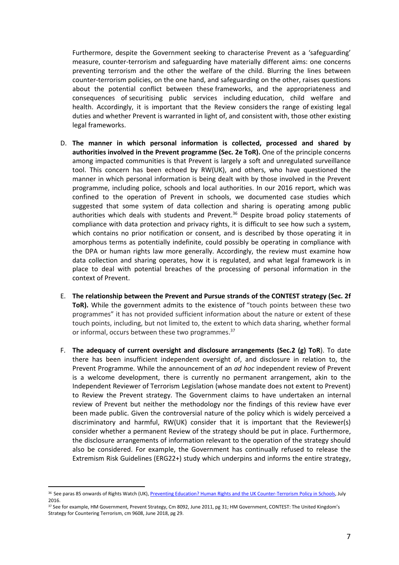Furthermore, despite the Government seeking to characterise Prevent as a 'safeguarding' measure, counter-terrorism and safeguarding have materially different aims: one concerns preventing terrorism and the other the welfare of the child. Blurring the lines between counter-terrorism policies, on the one hand, and safeguarding on the other, raises questions about the potential conflict between these frameworks, and the appropriateness and consequences of securitising public services including education, child welfare and health. Accordingly, it is important that the Review considers the range of existing legal duties and whether Prevent is warranted in light of, and consistent with, those other existing legal frameworks.

- D. **The manner in which personal information is collected, processed and shared by authorities involved in the Prevent programme (Sec. 2e ToR).** One of the principle concerns among impacted communities is that Prevent is largely a soft and unregulated surveillance tool. This concern has been echoed by RW(UK), and others, who have questioned the manner in which personal information is being dealt with by those involved in the Prevent programme, including police, schools and local authorities. In our 2016 report, which was confined to the operation of Prevent in schools, we documented case studies which suggested that some system of data collection and sharing is operating among public authorities which deals with students and Prevent.<sup>36</sup> Despite broad policy statements of compliance with data protection and privacy rights, it is difficult to see how such a system, which contains no prior notification or consent, and is described by those operating it in amorphous terms as potentially indefinite, could possibly be operating in compliance with the DPA or human rights law more generally. Accordingly, the review must examine how data collection and sharing operates, how it is regulated, and what legal framework is in place to deal with potential breaches of the processing of personal information in the context of Prevent.
- E. **The relationship between the Prevent and Pursue strands of the CONTEST strategy (Sec. 2f**  ToR). While the government admits to the existence of "touch points between these two programmes" it has not provided sufficient information about the nature or extent of these touch points, including, but not limited to, the extent to which data sharing, whether formal or informal, occurs between these two programmes. 37
- F. **The adequacy of current oversight and disclosure arrangements (Sec.2 (g) ToR**). To date there has been insufficient independent oversight of, and disclosure in relation to, the Prevent Programme. While the announcement of an *ad hoc* independent review of Prevent is a welcome development, there is currently no permanent arrangement, akin to the Independent Reviewer of Terrorism Legislation (whose mandate does not extent to Prevent) to Review the Prevent strategy. The Government claims to have undertaken an internal review of Prevent but neither the methodology nor the findings of this review have ever been made public. Given the controversial nature of the policy which is widely perceived a discriminatory and harmful, RW(UK) consider that it is important that the Reviewer(s) consider whether a permanent Review of the strategy should be put in place. Furthermore, the disclosure arrangements of information relevant to the operation of the strategy should also be considered. For example, the Government has continually refused to release the Extremism Risk Guidelines (ERG22+) study which underpins and informs the entire strategy,

 $\overline{a}$ 

<sup>36</sup> See paras 85 onwards of Rights Watch (UK)[, Preventing Education? Human Rights and the UK Counter-Terrorism Policy in Schools,](http://rwuk.org/wp-content/uploads/2016/07/preventing-education-final-to-print-3.compressed-1.pdf) July 2016.

<sup>37</sup> See for example, HM Government, Prevent Strategy, Cm 8092, June 2011, pg 31; HM Government, CONTEST: The United Kingdom's Strategy for Countering Terrorism, cm 9608, June 2018, pg 29.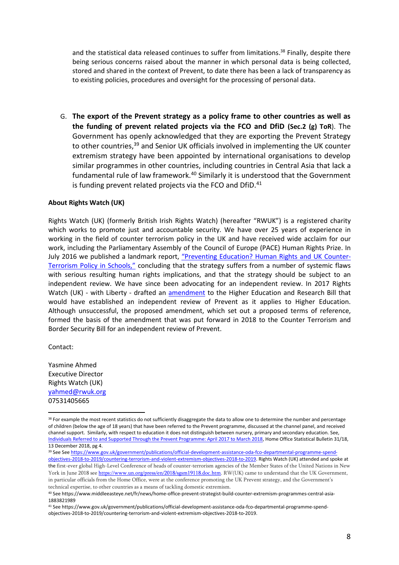and the statistical data released continues to suffer from limitations. <sup>38</sup> Finally, despite there being serious concerns raised about the manner in which personal data is being collected, stored and shared in the context of Prevent, to date there has been a lack of transparency as to existing policies, procedures and oversight for the processing of personal data.

G. **The export of the Prevent strategy as a policy frame to other countries as well as the funding of prevent related projects via the FCO and DfiD (Sec.2 (g) ToR**). The Government has openly acknowledged that they are exporting the Prevent Strategy to other countries, <sup>39</sup> and Senior UK officials involved in implementing the UK counter extremism strategy have been appointed by international organisations to develop similar programmes in other countries, including countries in Central Asia that lack a fundamental rule of law framework.<sup>40</sup> Similarly it is understood that the Government is funding prevent related projects via the FCO and DfiD.<sup>41</sup>

## **About Rights Watch (UK)**

Rights Watch (UK) (formerly British Irish Rights Watch) (hereafter "RWUK") is a registered charity which works to promote just and accountable security. We have over 25 years of experience in working in the field of counter terrorism policy in the UK and have received wide acclaim for our work, including the Parliamentary Assembly of the Council of Europe (PACE) Human Rights Prize. In July 2016 we published a landmark report, ["Preventing](http://rwuk.org/wp-content/uploads/2016/07/preventing-education-final-to-print-3.compressed-1.pdf) Education? Human Rights and UK Counter-[Terrorism](http://rwuk.org/wp-content/uploads/2016/07/preventing-education-final-to-print-3.compressed-1.pdf) Policy in Schools," concluding that the strategy suffers from a number of systemic flaws with serious resulting human rights implications, and that the strategy should be subject to an independent review. We have since been advocating for an independent review. In 2017 Rights Watch (UK) - with Liberty - drafted an [amendment](https://www.rwuk.org/advocacy/briefing-on-the-higher-education-and-research-bill-an-independent-review-of-preventmarch-2017/) to the Higher Education and Research Bill that would have established an independent review of Prevent as it applies to Higher Education. Although unsuccessful, the proposed amendment, which set out a proposed terms of reference, formed the basis of the amendment that was put forward in 2018 to the Counter Terrorism and Border Security Bill for an independent review of Prevent.

Contact:

l

Yasmine Ahmed Executive Director Rights Watch (UK) [yahmed@rwuk.org](mailto:yahmed@rwuk.org) 07531405665

<sup>&</sup>lt;sup>38</sup> For example the most recent statistics do not sufficiently disaggregate the data to allow one to determine the number and percentage of children (below the age of 18 years) that have been referred to the Prevent programme, discussed at the channel panel, and received channel support. Similarly, with respect to education it does not distinguish between nursery, primary and secondary education. See, [Individuals Referred to and Supported Through the Prevent Programme: April 2017 to March 2018,](https://assets.publishing.service.gov.uk/government/uploads/system/uploads/attachment_data/file/763254/individuals-referred-supported-prevent-programme-apr2017-mar2018-hosb3118.pdf) Home Office Statistical Bulletin 31/18, 13 December 2018, pg 4.

<sup>39</sup> See See [https://www.gov.uk/government/publications/official-development-assistance-oda-fco-departmental-programme-spend](https://www.gov.uk/government/publications/official-development-assistance-oda-fco-departmental-programme-spend-objectives-2018-to-2019/countering-terrorism-and-violent-extremism-objectives-2018-to-2019)[objectives-2018-to-2019/countering-terrorism-and-violent-extremism-objectives-2018-to-2019.](https://www.gov.uk/government/publications/official-development-assistance-oda-fco-departmental-programme-spend-objectives-2018-to-2019/countering-terrorism-and-violent-extremism-objectives-2018-to-2019) Rights Watch (UK) attended and spoke at the first-ever global High-Level Conference of heads of counter-terrorism agencies of the Member States of the United Nations in New York in June 2018 see [https://www.un.org/press/en/2018/sgsm19118.doc.htm.](https://www.un.org/press/en/2018/sgsm19118.doc.htm) RW(UK) came to understand that the UK Government, in particular officials from the Home Office, were at the conference promoting the UK Prevent strategy, and the Government's technical expertise, to other countries as a means of tackling domestic extremism.

<sup>40</sup> See https://www.middleeasteye.net/fr/news/home-office-prevent-strategist-build-counter-extremism-programmes-central-asia-1883821989

<sup>41</sup> See https://www.gov.uk/government/publications/official-development-assistance-oda-fco-departmental-programme-spendobjectives-2018-to-2019/countering-terrorism-and-violent-extremism-objectives-2018-to-2019.